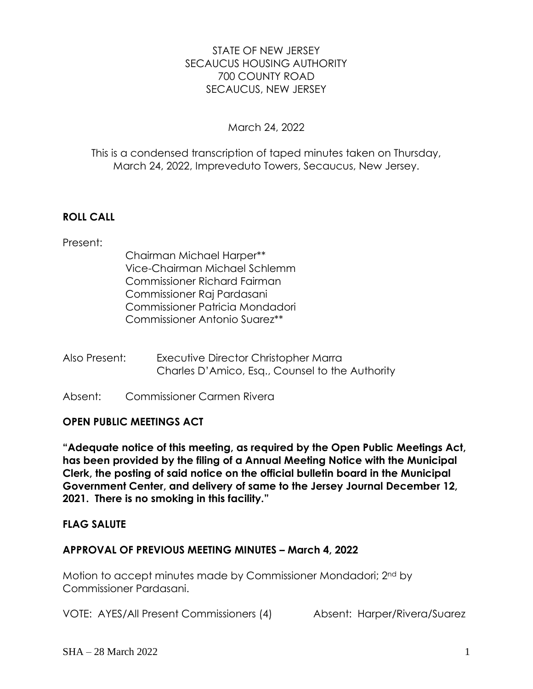# STATE OF NEW JERSEY SECAUCUS HOUSING AUTHORITY 700 COUNTY ROAD SECAUCUS, NEW JERSEY

## March 24, 2022

## This is a condensed transcription of taped minutes taken on Thursday, March 24, 2022, Impreveduto Towers, Secaucus, New Jersey.

# **ROLL CALL**

## Present:

- Chairman Michael Harper\*\* Vice-Chairman Michael Schlemm Commissioner Richard Fairman Commissioner Raj Pardasani Commissioner Patricia Mondadori Commissioner Antonio Suarez\*\*
- Also Present: Executive Director Christopher Marra Charles D'Amico, Esq., Counsel to the Authority
- Absent: Commissioner Carmen Rivera

# **OPEN PUBLIC MEETINGS ACT**

**"Adequate notice of this meeting, as required by the Open Public Meetings Act, has been provided by the filing of a Annual Meeting Notice with the Municipal Clerk, the posting of said notice on the official bulletin board in the Municipal Government Center, and delivery of same to the Jersey Journal December 12, 2021. There is no smoking in this facility."**

## **FLAG SALUTE**

# **APPROVAL OF PREVIOUS MEETING MINUTES – March 4, 2022**

Motion to accept minutes made by Commissioner Mondadori; 2nd by Commissioner Pardasani.

VOTE: AYES/All Present Commissioners (4) Absent: Harper/Rivera/Suarez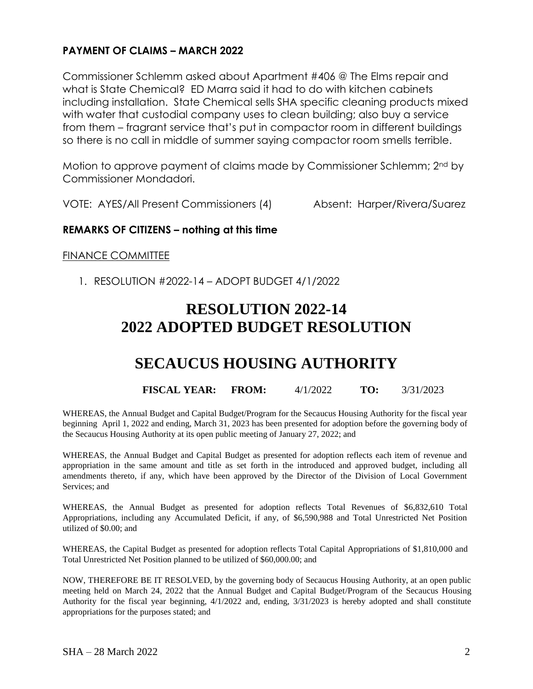## **PAYMENT OF CLAIMS – MARCH 2022**

Commissioner Schlemm asked about Apartment #406 @ The Elms repair and what is State Chemical? ED Marra said it had to do with kitchen cabinets including installation. State Chemical sells SHA specific cleaning products mixed with water that custodial company uses to clean building; also buy a service from them – fragrant service that's put in compactor room in different buildings so there is no call in middle of summer saying compactor room smells terrible.

Motion to approve payment of claims made by Commissioner Schlemm; 2nd by Commissioner Mondadori.

VOTE: AYES/All Present Commissioners (4) Absent: Harper/Rivera/Suarez

## **REMARKS OF CITIZENS – nothing at this time**

## FINANCE COMMITTEE

1. RESOLUTION #2022-14 – ADOPT BUDGET 4/1/2022

# **RESOLUTION 2022-14 2022 ADOPTED BUDGET RESOLUTION**

# **SECAUCUS HOUSING AUTHORITY**

## **FISCAL YEAR: FROM:** 4/1/2022 **TO:** 3/31/2023

WHEREAS, the Annual Budget and Capital Budget/Program for the Secaucus Housing Authority for the fiscal year beginning April 1, 2022 and ending, March 31, 2023 has been presented for adoption before the governing body of the Secaucus Housing Authority at its open public meeting of January 27, 2022; and

WHEREAS, the Annual Budget and Capital Budget as presented for adoption reflects each item of revenue and appropriation in the same amount and title as set forth in the introduced and approved budget, including all amendments thereto, if any, which have been approved by the Director of the Division of Local Government Services; and

WHEREAS, the Annual Budget as presented for adoption reflects Total Revenues of \$6,832,610 Total Appropriations, including any Accumulated Deficit, if any, of \$6,590,988 and Total Unrestricted Net Position utilized of \$0.00; and

WHEREAS, the Capital Budget as presented for adoption reflects Total Capital Appropriations of \$1,810,000 and Total Unrestricted Net Position planned to be utilized of \$60,000.00; and

NOW, THEREFORE BE IT RESOLVED, by the governing body of Secaucus Housing Authority, at an open public meeting held on March 24, 2022 that the Annual Budget and Capital Budget/Program of the Secaucus Housing Authority for the fiscal year beginning, 4/1/2022 and, ending, 3/31/2023 is hereby adopted and shall constitute appropriations for the purposes stated; and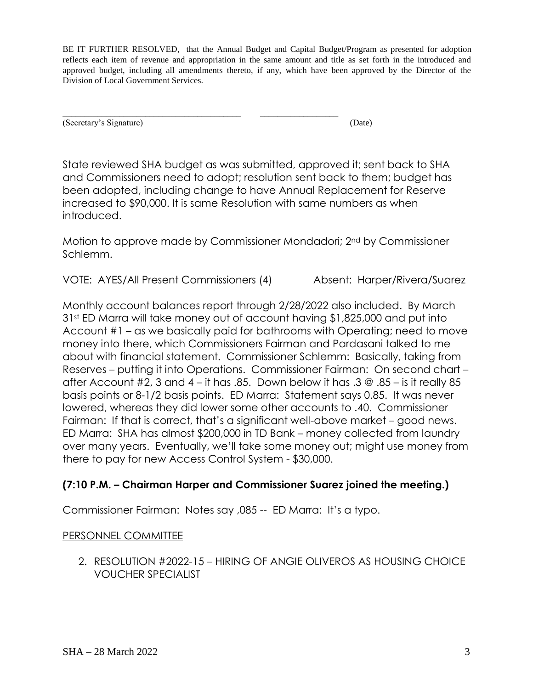BE IT FURTHER RESOLVED, that the Annual Budget and Capital Budget/Program as presented for adoption reflects each item of revenue and appropriation in the same amount and title as set forth in the introduced and approved budget, including all amendments thereto, if any, which have been approved by the Director of the Division of Local Government Services.

\_\_\_\_\_\_\_\_\_\_\_\_\_\_\_\_\_\_\_\_\_\_\_\_\_\_\_\_\_\_\_\_\_\_\_\_\_\_\_\_\_ \_\_\_\_\_\_\_\_\_\_\_\_\_\_\_\_\_\_ (Secretary's Signature) (Date)

State reviewed SHA budget as was submitted, approved it; sent back to SHA and Commissioners need to adopt; resolution sent back to them; budget has been adopted, including change to have Annual Replacement for Reserve increased to \$90,000. It is same Resolution with same numbers as when introduced.

Motion to approve made by Commissioner Mondadori; 2nd by Commissioner Schlemm.

VOTE: AYES/All Present Commissioners (4) Absent: Harper/Rivera/Suarez

Monthly account balances report through 2/28/2022 also included. By March 31st ED Marra will take money out of account having \$1,825,000 and put into Account #1 – as we basically paid for bathrooms with Operating; need to move money into there, which Commissioners Fairman and Pardasani talked to me about with financial statement. Commissioner Schlemm: Basically, taking from Reserves – putting it into Operations. Commissioner Fairman: On second chart – after Account #2, 3 and 4 – it has .85. Down below it has .3  $\textcircled{a}$  .85 – is it really 85 basis points or 8-1/2 basis points. ED Marra: Statement says 0.85. It was never lowered, whereas they did lower some other accounts to .40. Commissioner Fairman: If that is correct, that's a significant well-above market – good news. ED Marra: SHA has almost \$200,000 in TD Bank – money collected from laundry over many years. Eventually, we'll take some money out; might use money from there to pay for new Access Control System - \$30,000.

# **(7:10 P.M. – Chairman Harper and Commissioner Suarez joined the meeting.)**

Commissioner Fairman: Notes say ,085 -- ED Marra: It's a typo.

# PERSONNEL COMMITTEE

2. RESOLUTION #2022-15 – HIRING OF ANGIE OLIVEROS AS HOUSING CHOICE VOUCHER SPECIALIST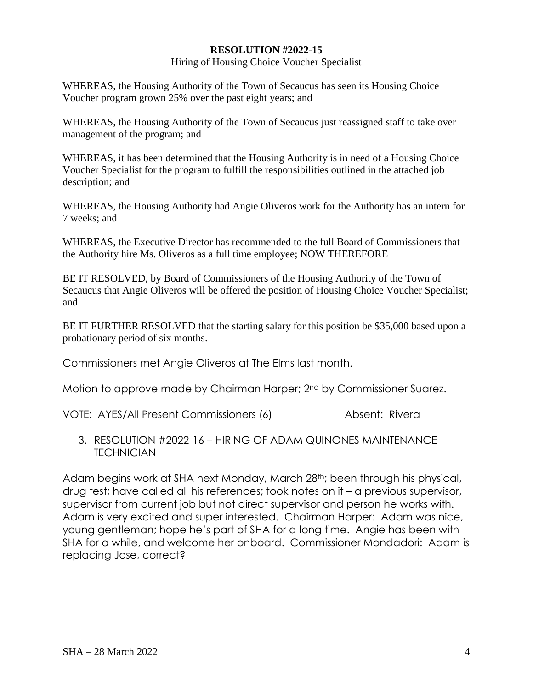#### **RESOLUTION #2022-15**

#### Hiring of Housing Choice Voucher Specialist

WHEREAS, the Housing Authority of the Town of Secaucus has seen its Housing Choice Voucher program grown 25% over the past eight years; and

WHEREAS, the Housing Authority of the Town of Secaucus just reassigned staff to take over management of the program; and

WHEREAS, it has been determined that the Housing Authority is in need of a Housing Choice Voucher Specialist for the program to fulfill the responsibilities outlined in the attached job description; and

WHEREAS, the Housing Authority had Angie Oliveros work for the Authority has an intern for 7 weeks; and

WHEREAS, the Executive Director has recommended to the full Board of Commissioners that the Authority hire Ms. Oliveros as a full time employee; NOW THEREFORE

BE IT RESOLVED, by Board of Commissioners of the Housing Authority of the Town of Secaucus that Angie Oliveros will be offered the position of Housing Choice Voucher Specialist; and

BE IT FURTHER RESOLVED that the starting salary for this position be \$35,000 based upon a probationary period of six months.

Commissioners met Angie Oliveros at The Elms last month.

Motion to approve made by Chairman Harper; 2<sup>nd</sup> by Commissioner Suarez.

VOTE: AYES/All Present Commissioners (6) Absent: Rivera

3. RESOLUTION #2022-16 – HIRING OF ADAM QUINONES MAINTENANCE **TECHNICIAN** 

Adam begins work at SHA next Monday, March 28<sup>th</sup>; been through his physical, drug test; have called all his references; took notes on it – a previous supervisor, supervisor from current job but not direct supervisor and person he works with. Adam is very excited and super interested. Chairman Harper: Adam was nice, young gentleman; hope he's part of SHA for a long time. Angie has been with SHA for a while, and welcome her onboard. Commissioner Mondadori: Adam is replacing Jose, correct?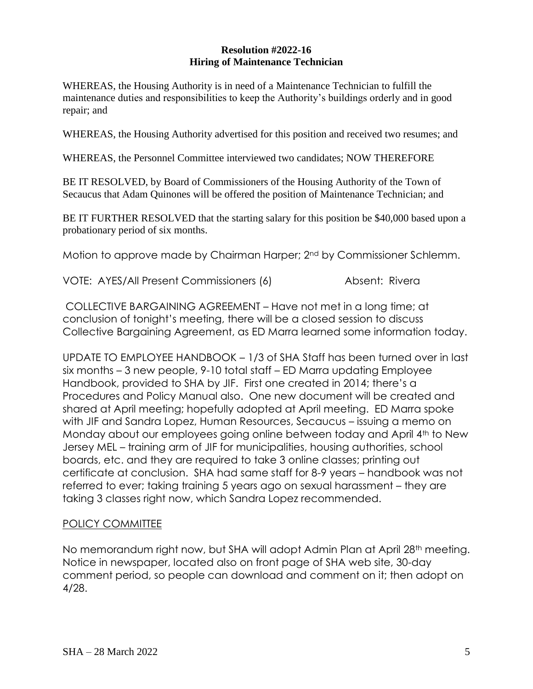#### **Resolution #2022-16 Hiring of Maintenance Technician**

WHEREAS, the Housing Authority is in need of a Maintenance Technician to fulfill the maintenance duties and responsibilities to keep the Authority's buildings orderly and in good repair; and

WHEREAS, the Housing Authority advertised for this position and received two resumes; and

WHEREAS, the Personnel Committee interviewed two candidates; NOW THEREFORE

BE IT RESOLVED, by Board of Commissioners of the Housing Authority of the Town of Secaucus that Adam Quinones will be offered the position of Maintenance Technician; and

BE IT FURTHER RESOLVED that the starting salary for this position be \$40,000 based upon a probationary period of six months.

Motion to approve made by Chairman Harper; 2nd by Commissioner Schlemm.

VOTE: AYES/All Present Commissioners (6) Absent: Rivera

COLLECTIVE BARGAINING AGREEMENT – Have not met in a long time; at conclusion of tonight's meeting, there will be a closed session to discuss Collective Bargaining Agreement, as ED Marra learned some information today.

UPDATE TO EMPLOYEE HANDBOOK – 1/3 of SHA Staff has been turned over in last six months – 3 new people, 9-10 total staff – ED Marra updating Employee Handbook, provided to SHA by JIF. First one created in 2014; there's a Procedures and Policy Manual also. One new document will be created and shared at April meeting; hopefully adopted at April meeting. ED Marra spoke with JIF and Sandra Lopez, Human Resources, Secaucus – issuing a memo on Monday about our employees going online between today and April 4<sup>th</sup> to New Jersey MEL – training arm of JIF for municipalities, housing authorities, school boards, etc. and they are required to take 3 online classes; printing out certificate at conclusion. SHA had same staff for 8-9 years – handbook was not referred to ever; taking training 5 years ago on sexual harassment – they are taking 3 classes right now, which Sandra Lopez recommended.

# POLICY COMMITTEE

No memorandum right now, but SHA will adopt Admin Plan at April 28<sup>th</sup> meeting. Notice in newspaper, located also on front page of SHA web site, 30-day comment period, so people can download and comment on it; then adopt on 4/28.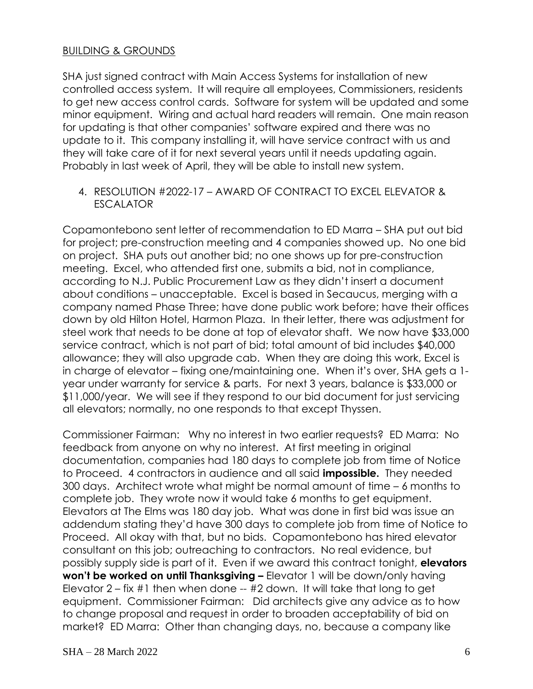## BUILDING & GROUNDS

SHA just signed contract with Main Access Systems for installation of new controlled access system. It will require all employees, Commissioners, residents to get new access control cards. Software for system will be updated and some minor equipment. Wiring and actual hard readers will remain. One main reason for updating is that other companies' software expired and there was no update to it. This company installing it, will have service contract with us and they will take care of it for next several years until it needs updating again. Probably in last week of April, they will be able to install new system.

4. RESOLUTION #2022-17 – AWARD OF CONTRACT TO EXCEL ELEVATOR & **ESCALATOR** 

Copamontebono sent letter of recommendation to ED Marra – SHA put out bid for project; pre-construction meeting and 4 companies showed up. No one bid on project. SHA puts out another bid; no one shows up for pre-construction meeting. Excel, who attended first one, submits a bid, not in compliance, according to N.J. Public Procurement Law as they didn't insert a document about conditions – unacceptable. Excel is based in Secaucus, merging with a company named Phase Three; have done public work before; have their offices down by old Hilton Hotel, Harmon Plaza. In their letter, there was adjustment for steel work that needs to be done at top of elevator shaft. We now have \$33,000 service contract, which is not part of bid; total amount of bid includes \$40,000 allowance; they will also upgrade cab. When they are doing this work, Excel is in charge of elevator – fixing one/maintaining one. When it's over, SHA gets a 1 year under warranty for service & parts. For next 3 years, balance is \$33,000 or \$11,000/year. We will see if they respond to our bid document for just servicing all elevators; normally, no one responds to that except Thyssen.

Commissioner Fairman: Why no interest in two earlier requests? ED Marra: No feedback from anyone on why no interest. At first meeting in original documentation, companies had 180 days to complete job from time of Notice to Proceed. 4 contractors in audience and all said **impossible.** They needed 300 days. Architect wrote what might be normal amount of time – 6 months to complete job. They wrote now it would take 6 months to get equipment. Elevators at The Elms was 180 day job. What was done in first bid was issue an addendum stating they'd have 300 days to complete job from time of Notice to Proceed. All okay with that, but no bids. Copamontebono has hired elevator consultant on this job; outreaching to contractors. No real evidence, but possibly supply side is part of it. Even if we award this contract tonight, **elevators won't be worked on until Thanksgiving –** Elevator 1 will be down/only having Elevator 2 – fix #1 then when done -- #2 down. It will take that long to get equipment. Commissioner Fairman: Did architects give any advice as to how to change proposal and request in order to broaden acceptability of bid on market? ED Marra: Other than changing days, no, because a company like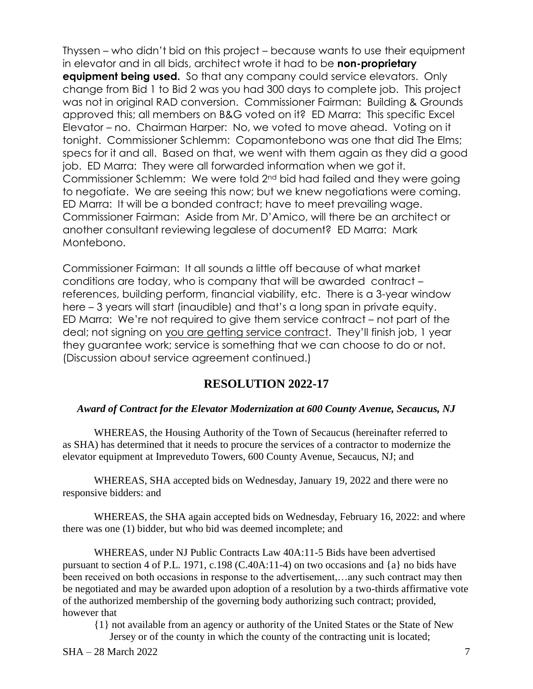Thyssen – who didn't bid on this project – because wants to use their equipment in elevator and in all bids, architect wrote it had to be **non-proprietary equipment being used.** So that any company could service elevators. Only change from Bid 1 to Bid 2 was you had 300 days to complete job. This project was not in original RAD conversion. Commissioner Fairman: Building & Grounds approved this; all members on B&G voted on it? ED Marra: This specific Excel Elevator – no. Chairman Harper: No, we voted to move ahead. Voting on it tonight. Commissioner Schlemm: Copamontebono was one that did The Elms; specs for it and all. Based on that, we went with them again as they did a good job. ED Marra: They were all forwarded information when we got it. Commissioner Schlemm: We were told 2nd bid had failed and they were going to negotiate. We are seeing this now; but we knew negotiations were coming. ED Marra: It will be a bonded contract; have to meet prevailing wage. Commissioner Fairman: Aside from Mr. D'Amico, will there be an architect or another consultant reviewing legalese of document? ED Marra: Mark Montebono.

Commissioner Fairman: It all sounds a little off because of what market conditions are today, who is company that will be awarded contract – references, building perform, financial viability, etc. There is a 3-year window here – 3 years will start (inaudible) and that's a long span in private equity. ED Marra: We're not required to give them service contract – not part of the deal; not signing on you are getting service contract. They'll finish job, 1 year they guarantee work; service is something that we can choose to do or not. (Discussion about service agreement continued.)

# **RESOLUTION 2022-17**

#### *Award of Contract for the Elevator Modernization at 600 County Avenue, Secaucus, NJ*

WHEREAS, the Housing Authority of the Town of Secaucus (hereinafter referred to as SHA) has determined that it needs to procure the services of a contractor to modernize the elevator equipment at Impreveduto Towers, 600 County Avenue, Secaucus, NJ; and

WHEREAS, SHA accepted bids on Wednesday, January 19, 2022 and there were no responsive bidders: and

WHEREAS, the SHA again accepted bids on Wednesday, February 16, 2022: and where there was one (1) bidder, but who bid was deemed incomplete; and

WHEREAS, under NJ Public Contracts Law 40A:11-5 Bids have been advertised pursuant to section 4 of P.L. 1971, c.198 (C.40A:11-4) on two occasions and {a} no bids have been received on both occasions in response to the advertisement,…any such contract may then be negotiated and may be awarded upon adoption of a resolution by a two-thirds affirmative vote of the authorized membership of the governing body authorizing such contract; provided, however that

{1} not available from an agency or authority of the United States or the State of New Jersey or of the county in which the county of the contracting unit is located;

 $SHA - 28 March 2022$  7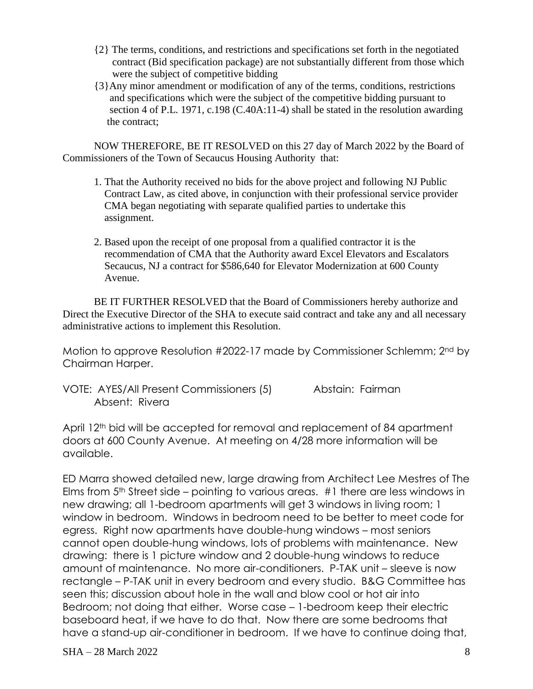- {2} The terms, conditions, and restrictions and specifications set forth in the negotiated contract (Bid specification package) are not substantially different from those which were the subject of competitive bidding
- {3}Any minor amendment or modification of any of the terms, conditions, restrictions and specifications which were the subject of the competitive bidding pursuant to section 4 of P.L. 1971, c.198 (C.40A:11-4) shall be stated in the resolution awarding the contract;

NOW THEREFORE, BE IT RESOLVED on this 27 day of March 2022 by the Board of Commissioners of the Town of Secaucus Housing Authority that:

- 1. That the Authority received no bids for the above project and following NJ Public Contract Law, as cited above, in conjunction with their professional service provider CMA began negotiating with separate qualified parties to undertake this assignment.
- 2. Based upon the receipt of one proposal from a qualified contractor it is the recommendation of CMA that the Authority award Excel Elevators and Escalators Secaucus, NJ a contract for \$586,640 for Elevator Modernization at 600 County Avenue.

BE IT FURTHER RESOLVED that the Board of Commissioners hereby authorize and Direct the Executive Director of the SHA to execute said contract and take any and all necessary administrative actions to implement this Resolution.

Motion to approve Resolution #2022-17 made by Commissioner Schlemm; 2nd by Chairman Harper.

VOTE: AYES/All Present Commissioners (5) Abstain: Fairman Absent: Rivera

April 12<sup>th</sup> bid will be accepted for removal and replacement of 84 apartment doors at 600 County Avenue. At meeting on 4/28 more information will be available.

ED Marra showed detailed new, large drawing from Architect Lee Mestres of The Elms from 5th Street side – pointing to various areas. #1 there are less windows in new drawing; all 1-bedroom apartments will get 3 windows in living room; 1 window in bedroom. Windows in bedroom need to be better to meet code for egress. Right now apartments have double-hung windows – most seniors cannot open double-hung windows, lots of problems with maintenance. New drawing: there is 1 picture window and 2 double-hung windows to reduce amount of maintenance. No more air-conditioners. P-TAK unit – sleeve is now rectangle – P-TAK unit in every bedroom and every studio. B&G Committee has seen this; discussion about hole in the wall and blow cool or hot air into Bedroom; not doing that either. Worse case – 1-bedroom keep their electric baseboard heat, if we have to do that. Now there are some bedrooms that have a stand-up air-conditioner in bedroom. If we have to continue doing that,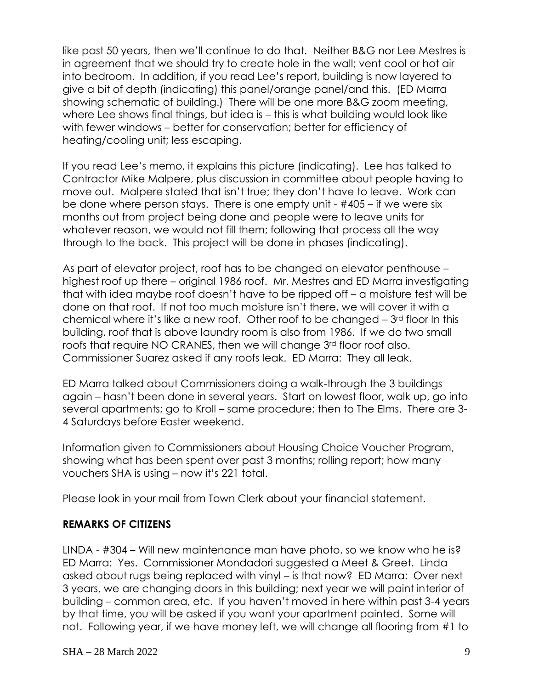like past 50 years, then we'll continue to do that. Neither B&G nor Lee Mestres is in agreement that we should try to create hole in the wall; vent cool or hot air into bedroom. In addition, if you read Lee's report, building is now layered to give a bit of depth (indicating) this panel/orange panel/and this. (ED Marra showing schematic of building.) There will be one more B&G zoom meeting, where Lee shows final things, but idea is – this is what building would look like with fewer windows – better for conservation; better for efficiency of heating/cooling unit; less escaping.

If you read Lee's memo, it explains this picture (indicating). Lee has talked to Contractor Mike Malpere, plus discussion in committee about people having to move out. Malpere stated that isn't true; they don't have to leave. Work can be done where person stays. There is one empty unit - #405 – if we were six months out from project being done and people were to leave units for whatever reason, we would not fill them; following that process all the way through to the back. This project will be done in phases (indicating).

As part of elevator project, roof has to be changed on elevator penthouse – highest roof up there – original 1986 roof. Mr. Mestres and ED Marra investigating that with idea maybe roof doesn't have to be ripped off – a moisture test will be done on that roof. If not too much moisture isn't there, we will cover it with a chemical where it's like a new roof. Other roof to be changed  $-3<sup>rd</sup>$  floor In this building, roof that is above laundry room is also from 1986. If we do two small roofs that require NO CRANES, then we will change 3<sup>rd</sup> floor roof also. Commissioner Suarez asked if any roofs leak. ED Marra: They all leak.

ED Marra talked about Commissioners doing a walk-through the 3 buildings again – hasn't been done in several years. Start on lowest floor, walk up, go into several apartments; go to Kroll – same procedure; then to The Elms. There are 3- 4 Saturdays before Easter weekend.

Information given to Commissioners about Housing Choice Voucher Program, showing what has been spent over past 3 months; rolling report; how many vouchers SHA is using – now it's 221 total.

Please look in your mail from Town Clerk about your financial statement.

# **REMARKS OF CITIZENS**

LINDA - #304 – Will new maintenance man have photo, so we know who he is? ED Marra: Yes. Commissioner Mondadori suggested a Meet & Greet. Linda asked about rugs being replaced with vinyl – is that now? ED Marra: Over next 3 years, we are changing doors in this building; next year we will paint interior of building – common area, etc. If you haven't moved in here within past 3-4 years by that time, you will be asked if you want your apartment painted. Some will not. Following year, if we have money left, we will change all flooring from #1 to